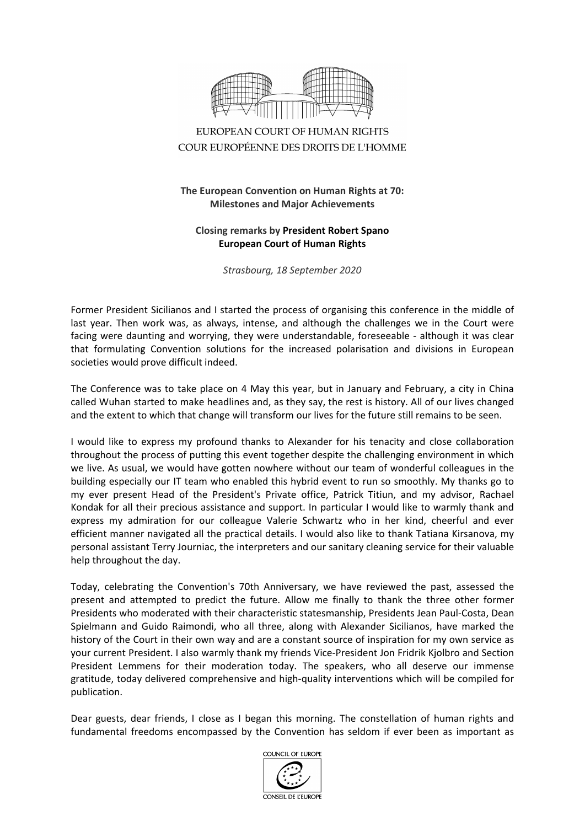

## EUROPEAN COURT OF HUMAN RIGHTS COUR EUROPÉENNE DES DROITS DE L'HOMME

## **The European Convention on Human Rights at 70: Milestones and Major Achievements**

## **Closing remarks by President Robert Spano European Court of Human Rights**

*Strasbourg, 18 September 2020*

Former President Sicilianos and I started the process of organising this conference in the middle of last year. Then work was, as always, intense, and although the challenges we in the Court were facing were daunting and worrying, they were understandable, foreseeable - although it was clear that formulating Convention solutions for the increased polarisation and divisions in European societies would prove difficult indeed.

The Conference was to take place on 4 May this year, but in January and February, a city in China called Wuhan started to make headlines and, as they say, the rest is history. All of our lives changed and the extent to which that change will transform our lives for the future still remains to be seen.

I would like to express my profound thanks to Alexander for his tenacity and close collaboration throughout the process of putting this event together despite the challenging environment in which we live. As usual, we would have gotten nowhere without our team of wonderful colleagues in the building especially our IT team who enabled this hybrid event to run so smoothly. My thanks go to my ever present Head of the President's Private office, Patrick Titiun, and my advisor, Rachael Kondak for all their precious assistance and support. In particular I would like to warmly thank and express my admiration for our colleague Valerie Schwartz who in her kind, cheerful and ever efficient manner navigated all the practical details. I would also like to thank Tatiana Kirsanova, my personal assistant Terry Journiac, the interpreters and our sanitary cleaning service for their valuable help throughout the day.

Today, celebrating the Convention's 70th Anniversary, we have reviewed the past, assessed the present and attempted to predict the future. Allow me finally to thank the three other former Presidents who moderated with their characteristic statesmanship, Presidents Jean Paul-Costa, Dean Spielmann and Guido Raimondi, who all three, along with Alexander Sicilianos, have marked the history of the Court in their own way and are a constant source of inspiration for my own service as your current President. I also warmly thank my friends Vice-President Jon Fridrik Kjolbro and Section President Lemmens for their moderation today. The speakers, who all deserve our immense gratitude, today delivered comprehensive and high-quality interventions which will be compiled for publication.

Dear guests, dear friends, I close as I began this morning. The constellation of human rights and fundamental freedoms encompassed by the Convention has seldom if ever been as important as